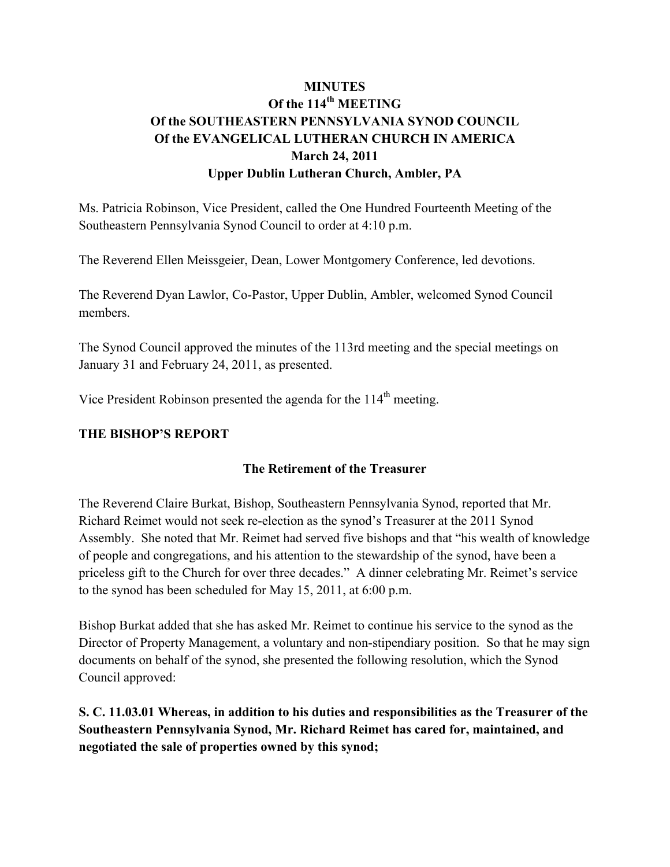## **MINUTES** Of the 114<sup>th</sup> MEETING **Of the SOUTHEASTERN PENNSYLVANIA SYNOD COUNCIL Of the EVANGELICAL LUTHERAN CHURCH IN AMERICA March 24, 2011 Upper Dublin Lutheran Church, Ambler, PA**

Ms. Patricia Robinson, Vice President, called the One Hundred Fourteenth Meeting of the Southeastern Pennsylvania Synod Council to order at 4:10 p.m.

The Reverend Ellen Meissgeier, Dean, Lower Montgomery Conference, led devotions.

The Reverend Dyan Lawlor, Co-Pastor, Upper Dublin, Ambler, welcomed Synod Council members.

The Synod Council approved the minutes of the 113rd meeting and the special meetings on January 31 and February 24, 2011, as presented.

Vice President Robinson presented the agenda for the  $114<sup>th</sup>$  meeting.

### **THE BISHOP'S REPORT**

### **The Retirement of the Treasurer**

The Reverend Claire Burkat, Bishop, Southeastern Pennsylvania Synod, reported that Mr. Richard Reimet would not seek re-election as the synod's Treasurer at the 2011 Synod Assembly. She noted that Mr. Reimet had served five bishops and that "his wealth of knowledge of people and congregations, and his attention to the stewardship of the synod, have been a priceless gift to the Church for over three decades." A dinner celebrating Mr. Reimet's service to the synod has been scheduled for May 15, 2011, at 6:00 p.m.

Bishop Burkat added that she has asked Mr. Reimet to continue his service to the synod as the Director of Property Management, a voluntary and non-stipendiary position. So that he may sign documents on behalf of the synod, she presented the following resolution, which the Synod Council approved:

**S. C. 11.03.01 Whereas, in addition to his duties and responsibilities as the Treasurer of the Southeastern Pennsylvania Synod, Mr. Richard Reimet has cared for, maintained, and negotiated the sale of properties owned by this synod;**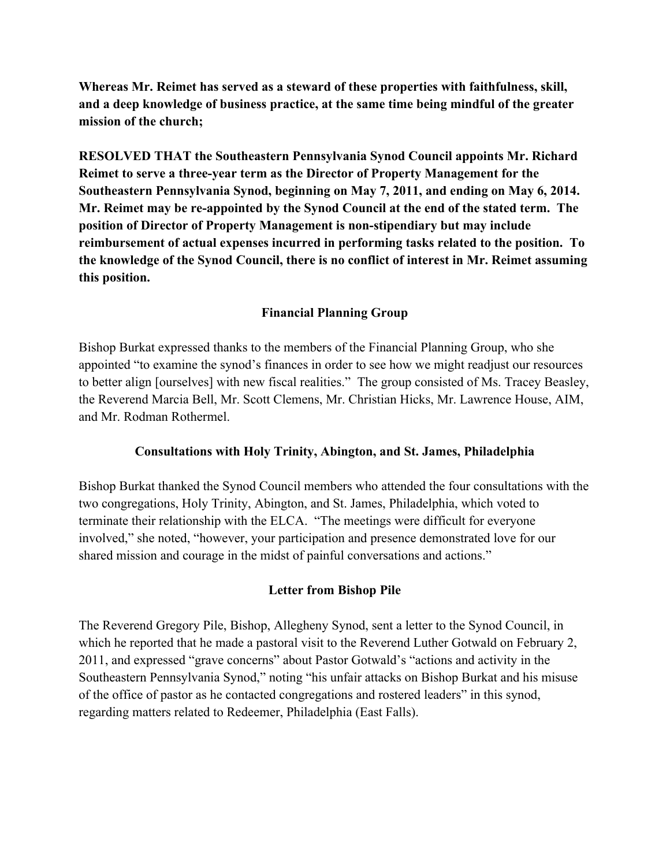**Whereas Mr. Reimet has served as a steward of these properties with faithfulness, skill, and a deep knowledge of business practice, at the same time being mindful of the greater mission of the church;**

**RESOLVED THAT the Southeastern Pennsylvania Synod Council appoints Mr. Richard Reimet to serve a three-year term as the Director of Property Management for the Southeastern Pennsylvania Synod, beginning on May 7, 2011, and ending on May 6, 2014. Mr. Reimet may be re-appointed by the Synod Council at the end of the stated term. The position of Director of Property Management is non-stipendiary but may include reimbursement of actual expenses incurred in performing tasks related to the position. To the knowledge of the Synod Council, there is no conflict of interest in Mr. Reimet assuming this position.** 

### **Financial Planning Group**

Bishop Burkat expressed thanks to the members of the Financial Planning Group, who she appointed "to examine the synod's finances in order to see how we might readjust our resources to better align [ourselves] with new fiscal realities." The group consisted of Ms. Tracey Beasley, the Reverend Marcia Bell, Mr. Scott Clemens, Mr. Christian Hicks, Mr. Lawrence House, AIM, and Mr. Rodman Rothermel.

### **Consultations with Holy Trinity, Abington, and St. James, Philadelphia**

Bishop Burkat thanked the Synod Council members who attended the four consultations with the two congregations, Holy Trinity, Abington, and St. James, Philadelphia, which voted to terminate their relationship with the ELCA. "The meetings were difficult for everyone involved," she noted, "however, your participation and presence demonstrated love for our shared mission and courage in the midst of painful conversations and actions."

### **Letter from Bishop Pile**

The Reverend Gregory Pile, Bishop, Allegheny Synod, sent a letter to the Synod Council, in which he reported that he made a pastoral visit to the Reverend Luther Gotwald on February 2, 2011, and expressed "grave concerns" about Pastor Gotwald's "actions and activity in the Southeastern Pennsylvania Synod," noting "his unfair attacks on Bishop Burkat and his misuse of the office of pastor as he contacted congregations and rostered leaders" in this synod, regarding matters related to Redeemer, Philadelphia (East Falls).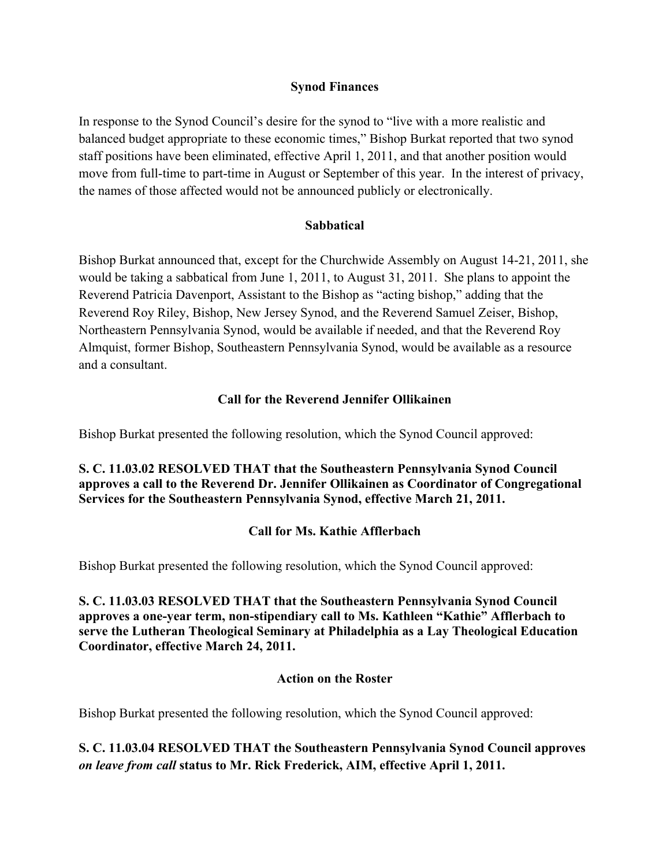### **Synod Finances**

In response to the Synod Council's desire for the synod to "live with a more realistic and balanced budget appropriate to these economic times," Bishop Burkat reported that two synod staff positions have been eliminated, effective April 1, 2011, and that another position would move from full-time to part-time in August or September of this year. In the interest of privacy, the names of those affected would not be announced publicly or electronically.

### **Sabbatical**

Bishop Burkat announced that, except for the Churchwide Assembly on August 14-21, 2011, she would be taking a sabbatical from June 1, 2011, to August 31, 2011. She plans to appoint the Reverend Patricia Davenport, Assistant to the Bishop as "acting bishop," adding that the Reverend Roy Riley, Bishop, New Jersey Synod, and the Reverend Samuel Zeiser, Bishop, Northeastern Pennsylvania Synod, would be available if needed, and that the Reverend Roy Almquist, former Bishop, Southeastern Pennsylvania Synod, would be available as a resource and a consultant.

#### **Call for the Reverend Jennifer Ollikainen**

Bishop Burkat presented the following resolution, which the Synod Council approved:

### **S. C. 11.03.02 RESOLVED THAT that the Southeastern Pennsylvania Synod Council approves a call to the Reverend Dr. Jennifer Ollikainen as Coordinator of Congregational Services for the Southeastern Pennsylvania Synod, effective March 21, 2011.**

### **Call for Ms. Kathie Afflerbach**

Bishop Burkat presented the following resolution, which the Synod Council approved:

**S. C. 11.03.03 RESOLVED THAT that the Southeastern Pennsylvania Synod Council approves a one-year term, non-stipendiary call to Ms. Kathleen "Kathie" Afflerbach to serve the Lutheran Theological Seminary at Philadelphia as a Lay Theological Education Coordinator, effective March 24, 2011.**

#### **Action on the Roster**

Bishop Burkat presented the following resolution, which the Synod Council approved:

**S. C. 11.03.04 RESOLVED THAT the Southeastern Pennsylvania Synod Council approves**  *on leave from call* **status to Mr. Rick Frederick, AIM, effective April 1, 2011.**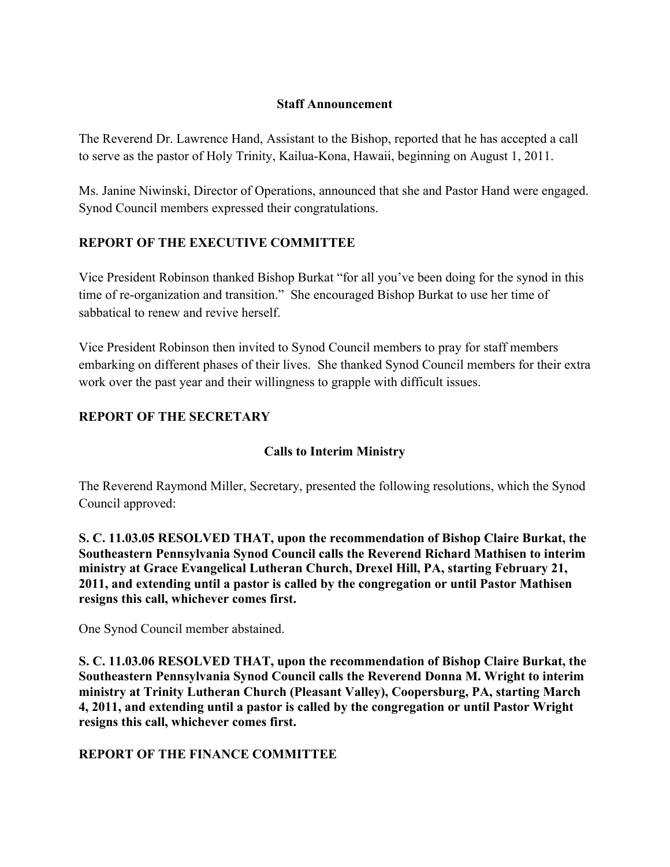### **Staff Announcement**

The Reverend Dr. Lawrence Hand, Assistant to the Bishop, reported that he has accepted a call to serve as the pastor of Holy Trinity, Kailua-Kona, Hawaii, beginning on August 1, 2011.

Ms. Janine Niwinski, Director of Operations, announced that she and Pastor Hand were engaged. Synod Council members expressed their congratulations.

### **REPORT OF THE EXECUTIVE COMMITTEE**

Vice President Robinson thanked Bishop Burkat "for all you've been doing for the synod in this time of re-organization and transition." She encouraged Bishop Burkat to use her time of sabbatical to renew and revive herself.

Vice President Robinson then invited to Synod Council members to pray for staff members embarking on different phases of their lives. She thanked Synod Council members for their extra work over the past year and their willingness to grapple with difficult issues.

### **REPORT OF THE SECRETARY**

### **Calls to Interim Ministry**

The Reverend Raymond Miller, Secretary, presented the following resolutions, which the Synod Council approved:

**S. C. 11.03.05 RESOLVED THAT, upon the recommendation of Bishop Claire Burkat, the Southeastern Pennsylvania Synod Council calls the Reverend Richard Mathisen to interim ministry at Grace Evangelical Lutheran Church, Drexel Hill, PA, starting February 21, 2011, and extending until a pastor is called by the congregation or until Pastor Mathisen resigns this call, whichever comes first.**

One Synod Council member abstained.

**S. C. 11.03.06 RESOLVED THAT, upon the recommendation of Bishop Claire Burkat, the Southeastern Pennsylvania Synod Council calls the Reverend Donna M. Wright to interim ministry at Trinity Lutheran Church (Pleasant Valley), Coopersburg, PA, starting March 4, 2011, and extending until a pastor is called by the congregation or until Pastor Wright resigns this call, whichever comes first.**

### **REPORT OF THE FINANCE COMMITTEE**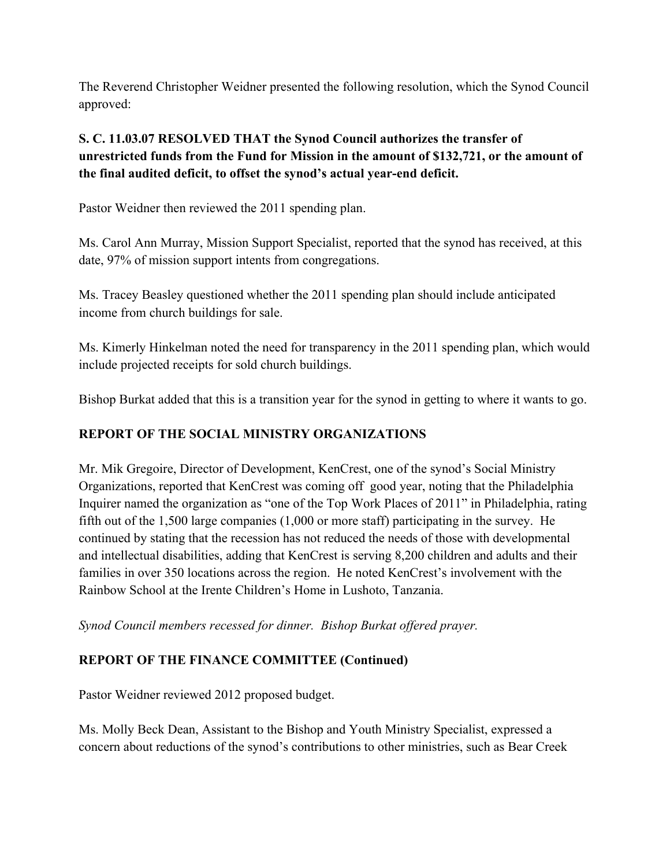The Reverend Christopher Weidner presented the following resolution, which the Synod Council approved:

## **S. C. 11.03.07 RESOLVED THAT the Synod Council authorizes the transfer of unrestricted funds from the Fund for Mission in the amount of \$132,721, or the amount of the final audited deficit, to offset the synod's actual year-end deficit.**

Pastor Weidner then reviewed the 2011 spending plan.

Ms. Carol Ann Murray, Mission Support Specialist, reported that the synod has received, at this date, 97% of mission support intents from congregations.

Ms. Tracey Beasley questioned whether the 2011 spending plan should include anticipated income from church buildings for sale.

Ms. Kimerly Hinkelman noted the need for transparency in the 2011 spending plan, which would include projected receipts for sold church buildings.

Bishop Burkat added that this is a transition year for the synod in getting to where it wants to go.

## **REPORT OF THE SOCIAL MINISTRY ORGANIZATIONS**

Mr. Mik Gregoire, Director of Development, KenCrest, one of the synod's Social Ministry Organizations, reported that KenCrest was coming off good year, noting that the Philadelphia Inquirer named the organization as "one of the Top Work Places of 2011" in Philadelphia, rating fifth out of the 1,500 large companies (1,000 or more staff) participating in the survey. He continued by stating that the recession has not reduced the needs of those with developmental and intellectual disabilities, adding that KenCrest is serving 8,200 children and adults and their families in over 350 locations across the region. He noted KenCrest's involvement with the Rainbow School at the Irente Children's Home in Lushoto, Tanzania.

*Synod Council members recessed for dinner. Bishop Burkat offered prayer.*

### **REPORT OF THE FINANCE COMMITTEE (Continued)**

Pastor Weidner reviewed 2012 proposed budget.

Ms. Molly Beck Dean, Assistant to the Bishop and Youth Ministry Specialist, expressed a concern about reductions of the synod's contributions to other ministries, such as Bear Creek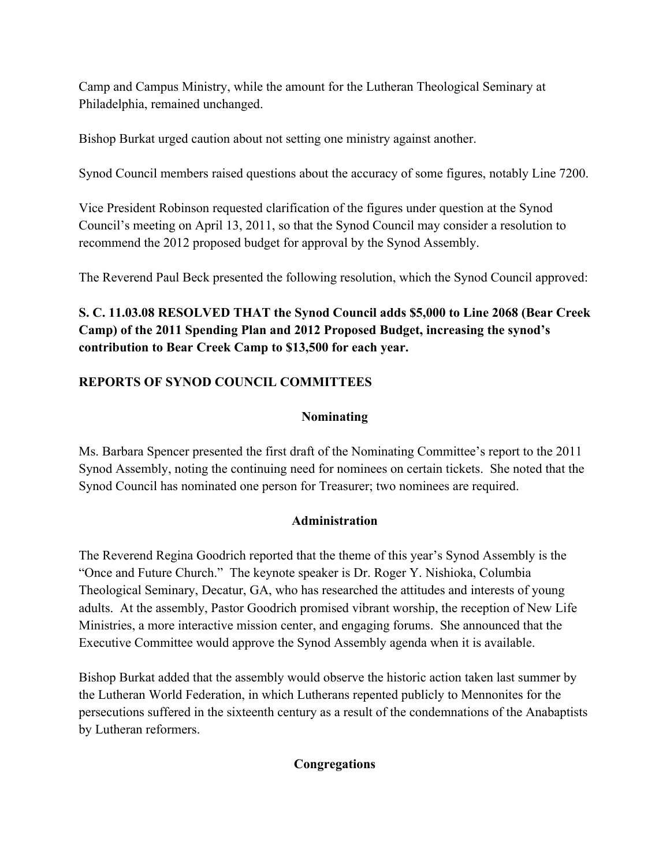Camp and Campus Ministry, while the amount for the Lutheran Theological Seminary at Philadelphia, remained unchanged.

Bishop Burkat urged caution about not setting one ministry against another.

Synod Council members raised questions about the accuracy of some figures, notably Line 7200.

Vice President Robinson requested clarification of the figures under question at the Synod Council's meeting on April 13, 2011, so that the Synod Council may consider a resolution to recommend the 2012 proposed budget for approval by the Synod Assembly.

The Reverend Paul Beck presented the following resolution, which the Synod Council approved:

# **S. C. 11.03.08 RESOLVED THAT the Synod Council adds \$5,000 to Line 2068 (Bear Creek Camp) of the 2011 Spending Plan and 2012 Proposed Budget, increasing the synod's contribution to Bear Creek Camp to \$13,500 for each year.**

# **REPORTS OF SYNOD COUNCIL COMMITTEES**

## **Nominating**

Ms. Barbara Spencer presented the first draft of the Nominating Committee's report to the 2011 Synod Assembly, noting the continuing need for nominees on certain tickets. She noted that the Synod Council has nominated one person for Treasurer; two nominees are required.

## **Administration**

The Reverend Regina Goodrich reported that the theme of this year's Synod Assembly is the "Once and Future Church." The keynote speaker is Dr. Roger Y. Nishioka, Columbia Theological Seminary, Decatur, GA, who has researched the attitudes and interests of young adults. At the assembly, Pastor Goodrich promised vibrant worship, the reception of New Life Ministries, a more interactive mission center, and engaging forums. She announced that the Executive Committee would approve the Synod Assembly agenda when it is available.

Bishop Burkat added that the assembly would observe the historic action taken last summer by the Lutheran World Federation, in which Lutherans repented publicly to Mennonites for the persecutions suffered in the sixteenth century as a result of the condemnations of the Anabaptists by Lutheran reformers.

### **Congregations**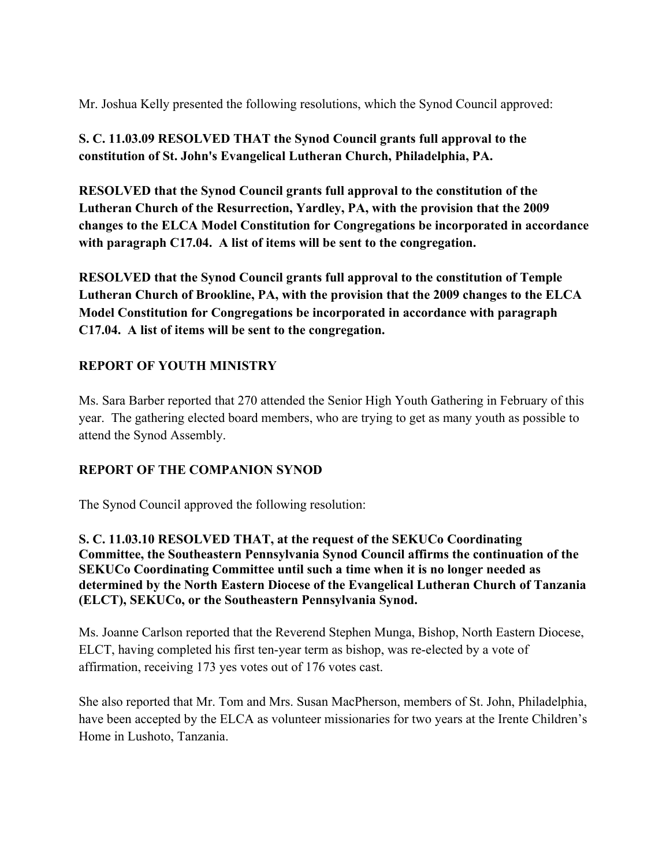Mr. Joshua Kelly presented the following resolutions, which the Synod Council approved:

## **S. C. 11.03.09 RESOLVED THAT the Synod Council grants full approval to the constitution of St. John's Evangelical Lutheran Church, Philadelphia, PA.**

**RESOLVED that the Synod Council grants full approval to the constitution of the Lutheran Church of the Resurrection, Yardley, PA, with the provision that the 2009 changes to the ELCA Model Constitution for Congregations be incorporated in accordance with paragraph C17.04. A list of items will be sent to the congregation.**

**RESOLVED that the Synod Council grants full approval to the constitution of Temple Lutheran Church of Brookline, PA, with the provision that the 2009 changes to the ELCA Model Constitution for Congregations be incorporated in accordance with paragraph C17.04. A list of items will be sent to the congregation.**

## **REPORT OF YOUTH MINISTRY**

Ms. Sara Barber reported that 270 attended the Senior High Youth Gathering in February of this year. The gathering elected board members, who are trying to get as many youth as possible to attend the Synod Assembly.

### **REPORT OF THE COMPANION SYNOD**

The Synod Council approved the following resolution:

**S. C. 11.03.10 RESOLVED THAT, at the request of the SEKUCo Coordinating Committee, the Southeastern Pennsylvania Synod Council affirms the continuation of the SEKUCo Coordinating Committee until such a time when it is no longer needed as determined by the North Eastern Diocese of the Evangelical Lutheran Church of Tanzania (ELCT), SEKUCo, or the Southeastern Pennsylvania Synod.**

Ms. Joanne Carlson reported that the Reverend Stephen Munga, Bishop, North Eastern Diocese, ELCT, having completed his first ten-year term as bishop, was re-elected by a vote of affirmation, receiving 173 yes votes out of 176 votes cast.

She also reported that Mr. Tom and Mrs. Susan MacPherson, members of St. John, Philadelphia, have been accepted by the ELCA as volunteer missionaries for two years at the Irente Children's Home in Lushoto, Tanzania.